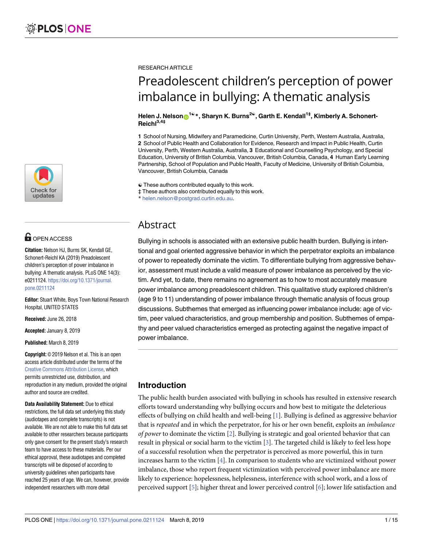

# **OPEN ACCESS**

**Citation:** Nelson HJ, Burns SK, Kendall GE, Schonert-Reichl KA (2019) Preadolescent children's perception of power imbalance in bullying: A thematic analysis. PLoS ONE 14(3): e0211124. [https://doi.org/10.1371/journal.](https://doi.org/10.1371/journal.pone.0211124) [pone.0211124](https://doi.org/10.1371/journal.pone.0211124)

**Editor:** Stuart White, Boys Town National Research Hospital, UNITED STATES

**Received:** June 26, 2018

**Accepted:** January 8, 2019

**Published:** March 8, 2019

**Copyright:** © 2019 Nelson et al. This is an open access article distributed under the terms of the Creative Commons [Attribution](http://creativecommons.org/licenses/by/4.0/) License, which permits unrestricted use, distribution, and reproduction in any medium, provided the original author and source are credited.

**Data Availability Statement:** Due to ethical restrictions, the full data set underlying this study (audiotapes and complete transcripts) is not available. We are not able to make this full data set available to other researchers because participants only gave consent for the present study's research team to have access to these materials. Per our ethical approval, these audiotapes and completed transcripts will be disposed of according to university guidelines when participants have reached 25 years of age. We can, however, provide independent researchers with more detail

<span id="page-0-0"></span>RESEARCH ARTICLE

# Preadolescent children's perception of power imbalance in bullying: A thematic analysis

# $H$ elen J. Nelson $\mathbf{D}^{1\mathfrak{S}*}$ , Sharyn K. Burns<sup>2 $\mathfrak{S}$ </sup>, Garth E. Kendall<sup>1‡</sup>, Kimberly A. Schonert-**Reichl3,4‡**

**1** School of Nursing, Midwifery and Paramedicine, Curtin University, Perth, Western Australia, Australia, **2** School of Public Health and Collaboration for Evidence, Research and Impact in Public Health, Curtin University, Perth, Western Australia, Australia, **3** Educational and Counselling Psychology, and Special Education, University of British Columbia, Vancouver, British Columbia, Canada, **4** Human Early Learning Partnership, School of Population and Public Health, Faculty of Medicine, University of British Columbia, Vancouver, British Columbia, Canada

☯ These authors contributed equally to this work.

‡ These authors also contributed equally to this work.

\* helen.nelson@postgrad.curtin.edu.au.

# Abstract

Bullying in schools is associated with an extensive public health burden. Bullying is intentional and goal oriented aggressive behavior in which the perpetrator exploits an imbalance of power to repeatedly dominate the victim. To differentiate bullying from aggressive behavior, assessment must include a valid measure of power imbalance as perceived by the victim. And yet, to date, there remains no agreement as to how to most accurately measure power imbalance among preadolescent children. This qualitative study explored children's (age 9 to 11) understanding of power imbalance through thematic analysis of focus group discussions. Subthemes that emerged as influencing power imbalance include: age of victim, peer valued characteristics, and group membership and position. Subthemes of empathy and peer valued characteristics emerged as protecting against the negative impact of power imbalance.

# **Introduction**

The public health burden associated with bullying in schools has resulted in extensive research efforts toward understanding why bullying occurs and how best to mitigate the deleterious effects of bullying on child health and well-being [\[1](#page-12-0)]. Bullying is defined as aggressive behavior that is *repeated* and in which the perpetrator, for his or her own benefit, exploits an *imbalance of power* to dominate the victim [[2\]](#page-12-0). Bullying is strategic and goal oriented behavior that can result in physical or social harm to the victim [\[3](#page-12-0)]. The targeted child is likely to feel less hope of a successful resolution when the perpetrator is perceived as more powerful, this in turn increases harm to the victim [[4\]](#page-12-0). In comparison to students who are victimized without power imbalance, those who report frequent victimization with perceived power imbalance are more likely to experience: hopelessness, helplessness, interference with school work, and a loss of perceived support [\[5\]](#page-12-0); higher threat and lower perceived control [\[6](#page-12-0)]; lower life satisfaction and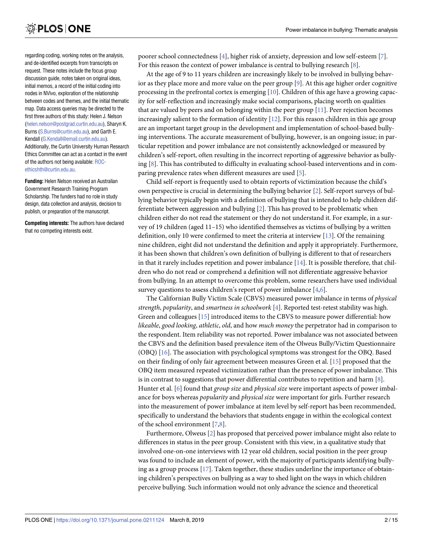<span id="page-1-0"></span>regarding coding, working notes on the analysis, and de-identified excerpts from transcripts on request. These notes include the focus group discussion guide, notes taken on original ideas, initial memos, a record of the initial coding into nodes in NVivo, exploration of the relationship between codes and themes, and the initial thematic map. Data access queries may be directed to the first three authors of this study: Helen J. Nelson [\(helen.nelson@postgrad.curtin.edu.au\)](mailto:helen.nelson@postgrad.curtin.edu.au), Sharyn K. Burns [\(S.Burns@curtin.edu.au](mailto:S.Burns@curtin.edu.au)), and Garth E. Kendall [\(G.Kendall@email.curtin.edu.au](mailto:G.Kendall@email.curtin.edu.au)). Additionally, the Curtin University Human Research Ethics Committee can act as a contact in the event of the authors not being available: [ROC](mailto:ROC-ethicshth@curtin.edu.au)[ethicshth@curtin.edu.au](mailto:ROC-ethicshth@curtin.edu.au).

**Funding:** Helen Nelson received an Australian Government Research Training Program Scholarship. The funders had no role in study design, data collection and analysis, decision to publish, or preparation of the manuscript.

**Competing interests:** The authors have declared that no competing interests exist.

poorer school connectedness [[4\]](#page-12-0), higher risk of anxiety, depression and low self-esteem [\[7\]](#page-13-0). For this reason the context of power imbalance is central to bullying research [[8\]](#page-13-0).

At the age of 9 to 11 years children are increasingly likely to be involved in bullying behavior as they place more and more value on the peer group [\[9](#page-13-0)]. At this age higher order cognitive processing in the prefrontal cortex is emerging [[10](#page-13-0)]. Children of this age have a growing capacity for self-reflection and increasingly make social comparisons, placing worth on qualities that are valued by peers and on belonging within the peer group  $[11]$ . Peer rejection becomes increasingly salient to the formation of identity [\[12\]](#page-13-0). For this reason children in this age group are an important target group in the development and implementation of school-based bullying interventions. The accurate measurement of bullying, however, is an ongoing issue; in particular repetition and power imbalance are not consistently acknowledged or measured by children's self-report, often resulting in the incorrect reporting of aggressive behavior as bullying [\[8](#page-13-0)]. This has contributed to difficulty in evaluating school-based interventions and in comparing prevalence rates when different measures are used [[5](#page-12-0)].

Child self-report is frequently used to obtain reports of victimization because the child's own perspective is crucial in determining the bullying behavior [\[2](#page-12-0)]. Self-report surveys of bullying behavior typically begin with a definition of bullying that is intended to help children differentiate between aggression and bullying [\[2\]](#page-12-0). This has proved to be problematic when children either do not read the statement or they do not understand it. For example, in a survey of 19 children (aged 11–15) who identified themselves as victims of bullying by a written definition, only 10 were confirmed to meet the criteria at interview [[13](#page-13-0)]. Of the remaining nine children, eight did not understand the definition and apply it appropriately. Furthermore, it has been shown that children's own definition of bullying is different to that of researchers in that it rarely includes repetition and power imbalance  $[14]$ . It is possible therefore, that children who do not read or comprehend a definition will not differentiate aggressive behavior from bullying. In an attempt to overcome this problem, some researchers have used individual survey questions to assess children's report of power imbalance [\[4,6\]](#page-12-0).

The Californian Bully Victim Scale (CBVS) measured power imbalance in terms of *physical strength*, *popularity*, and *smartness in schoolwork* [\[4](#page-12-0)]. Reported test-retest stability was high. Green and colleagues [\[15\]](#page-13-0) introduced items to the CBVS to measure power differential: how *likeable*, *good looking*, *athletic*, *old*, and how *much money* the perpetrator had in comparison to the respondent. Item reliability was not reported. Power imbalance was not associated between the CBVS and the definition based prevalence item of the Olweus Bully/Victim Questionnaire (OBQ) [\[16\]](#page-13-0). The association with psychological symptoms was strongest for the OBQ. Based on their finding of only fair agreement between measures Green et al. [[15](#page-13-0)] proposed that the OBQ item measured repeated victimization rather than the presence of power imbalance. This is in contrast to suggestions that power differential contributes to repetition and harm [\[8](#page-13-0)]. Hunter et al. [[6](#page-12-0)] found that *group size* and *physical size* were important aspects of power imbalance for boys whereas *popularity* and *physical size* were important for girls. Further research into the measurement of power imbalance at item level by self-report has been recommended, specifically to understand the behaviors that students engage in within the ecological context of the school environment [\[7,8](#page-13-0)].

Furthermore, Olweus [[2](#page-12-0)] has proposed that perceived power imbalance might also relate to differences in status in the peer group. Consistent with this view, in a qualitative study that involved one-on-one interviews with 12 year old children, social position in the peer group was found to include an element of power, with the majority of participants identifying bullying as a group process  $[17]$ . Taken together, these studies underline the importance of obtaining children's perspectives on bullying as a way to shed light on the ways in which children perceive bullying. Such information would not only advance the science and theoretical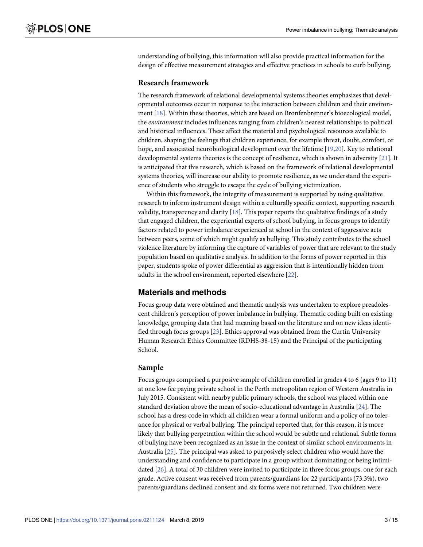<span id="page-2-0"></span>understanding of bullying, this information will also provide practical information for the design of effective measurement strategies and effective practices in schools to curb bullying.

# **Research framework**

The research framework of relational developmental systems theories emphasizes that developmental outcomes occur in response to the interaction between children and their environment [\[18\]](#page-13-0). Within these theories, which are based on Bronfenbrenner's bioecological model, the *environment* includes influences ranging from children's nearest relationships to political and historical influences. These affect the material and psychological resources available to children, shaping the feelings that children experience, for example threat, doubt, comfort, or hope, and associated neurobiological development over the lifetime [\[19,20\]](#page-13-0). Key to relational developmental systems theories is the concept of resilience, which is shown in adversity [\[21\]](#page-13-0). It is anticipated that this research, which is based on the framework of relational developmental systems theories, will increase our ability to promote resilience, as we understand the experience of students who struggle to escape the cycle of bullying victimization.

Within this framework, the integrity of measurement is supported by using qualitative research to inform instrument design within a culturally specific context, supporting research validity, transparency and clarity  $[18]$  $[18]$  $[18]$ . This paper reports the qualitative findings of a study that engaged children, the experiential experts of school bullying, in focus groups to identify factors related to power imbalance experienced at school in the context of aggressive acts between peers, some of which might qualify as bullying. This study contributes to the school violence literature by informing the capture of variables of power that are relevant to the study population based on qualitative analysis. In addition to the forms of power reported in this paper, students spoke of power differential as aggression that is intentionally hidden from adults in the school environment, reported elsewhere [[22](#page-13-0)].

# **Materials and methods**

Focus group data were obtained and thematic analysis was undertaken to explore preadolescent children's perception of power imbalance in bullying. Thematic coding built on existing knowledge, grouping data that had meaning based on the literature and on new ideas identified through focus groups [\[23\]](#page-13-0). Ethics approval was obtained from the Curtin University Human Research Ethics Committee (RDHS-38-15) and the Principal of the participating School.

# **Sample**

Focus groups comprised a purposive sample of children enrolled in grades 4 to 6 (ages 9 to 11) at one low fee paying private school in the Perth metropolitan region of Western Australia in July 2015. Consistent with nearby public primary schools, the school was placed within one standard deviation above the mean of socio-educational advantage in Australia [[24](#page-13-0)]. The school has a dress code in which all children wear a formal uniform and a policy of no tolerance for physical or verbal bullying. The principal reported that, for this reason, it is more likely that bullying perpetration within the school would be subtle and relational. Subtle forms of bullying have been recognized as an issue in the context of similar school environments in Australia [[25](#page-13-0)]. The principal was asked to purposively select children who would have the understanding and confidence to participate in a group without dominating or being intimidated [[26](#page-13-0)]. A total of 30 children were invited to participate in three focus groups, one for each grade. Active consent was received from parents/guardians for 22 participants (73.3%), two parents/guardians declined consent and six forms were not returned. Two children were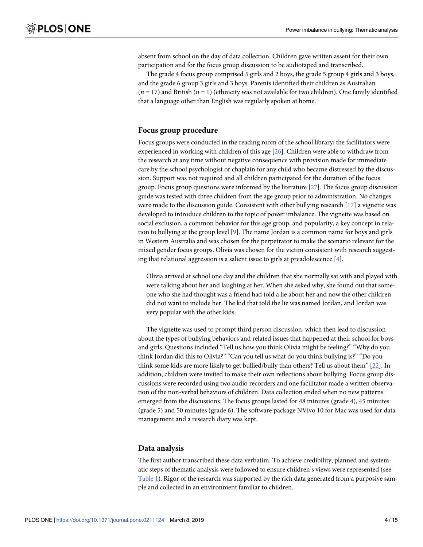<span id="page-3-0"></span>absent from school on the day of data collection. Children gave written assent for their own participation and for the focus group discussion to be audiotaped and transcribed.

The grade 4 focus group comprised 5 girls and 2 boys, the grade 5 group 4 girls and 3 boys, and the grade 6 group 3 girls and 3 boys. Parents identified their children as Australian  $(n = 17)$  and British  $(n = 1)$  (ethnicity was not available for two children). One family identified that a language other than English was regularly spoken at home.

### **Focus group procedure**

Focus groups were conducted in the reading room of the school library; the facilitators were experienced in working with children of this age [[26](#page-13-0)]. Children were able to withdraw from the research at any time without negative consequence with provision made for immediate care by the school psychologist or chaplain for any child who became distressed by the discussion. Support was not required and all children participated for the duration of the focus group. Focus group questions were informed by the literature [[27](#page-13-0)]. The focus group discussion guide was tested with three children from the age group prior to administration. No changes were made to the discussion guide. Consistent with other bullying research [[17](#page-13-0)] a vignette was developed to introduce children to the topic of power imbalance. The vignette was based on social exclusion, a common behavior for this age group, and popularity, a key concept in relation to bullying at the group level [\[9](#page-13-0)]. The name Jordan is a common name for boys and girls in Western Australia and was chosen for the perpetrator to make the scenario relevant for the mixed gender focus groups. Olivia was chosen for the victim consistent with research suggesting that relational aggression is a salient issue to girls at preadolescence [[4\]](#page-12-0).

Olivia arrived at school one day and the children that she normally sat with and played with were talking about her and laughing at her. When she asked why, she found out that someone who she had thought was a friend had told a lie about her and now the other children did not want to include her. The kid that told the lie was named Jordan, and Jordan was very popular with the other kids.

The vignette was used to prompt third person discussion, which then lead to discussion about the types of bullying behaviors and related issues that happened at their school for boys and girls. Questions included "Tell us how you think Olivia might be feeling?" "Why do you think Jordan did this to Olivia?" "Can you tell us what do you think bullying is?" "Do you think some kids are more likely to get bullied/bully than others? Tell us about them" [\[22](#page-13-0)]. In addition, children were invited to make their own reflections about bullying. Focus group discussions were recorded using two audio recorders and one facilitator made a written observation of the non-verbal behaviors of children. Data collection ended when no new patterns emerged from the discussions. The focus groups lasted for 48 minutes (grade 4), 45 minutes (grade 5) and 50 minutes (grade 6). The software package NVivo 10 for Mac was used for data management and a research diary was kept.

# **Data analysis**

The first author transcribed these data verbatim. To achieve credibility, planned and systematic steps of thematic analysis were followed to ensure children's views were represented (see [Table](#page-4-0) 1). Rigor of the research was supported by the rich data generated from a purposive sample and collected in an environment familiar to children.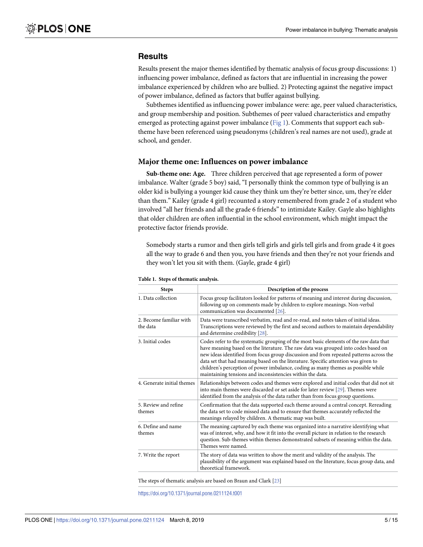# <span id="page-4-0"></span>**Results**

Results present the major themes identified by thematic analysis of focus group discussions: 1) influencing power imbalance, defined as factors that are influential in increasing the power imbalance experienced by children who are bullied. 2) Protecting against the negative impact of power imbalance, defined as factors that buffer against bullying.

Subthemes identified as influencing power imbalance were: age, peer valued characteristics, and group membership and position. Subthemes of peer valued characteristics and empathy emerged as protecting against power imbalance [\(Fig](#page-5-0) 1). Comments that support each subtheme have been referenced using pseudonyms (children's real names are not used), grade at school, and gender.

## **Major theme one: Influences on power imbalance**

**Sub-theme one: Age.** Three children perceived that age represented a form of power imbalance. Walter (grade 5 boy) said, "I personally think the common type of bullying is an older kid is bullying a younger kid cause they think um they're better since, um, they're elder than them." Kailey (grade 4 girl) recounted a story remembered from grade 2 of a student who involved "all her friends and all the grade 6 friends" to intimidate Kailey. Gayle also highlights that older children are often influential in the school environment, which might impact the protective factor friends provide.

Somebody starts a rumor and then girls tell girls and girls tell girls and from grade 4 it goes all the way to grade 6 and then you, you have friends and then they're not your friends and they won't let you sit with them. (Gayle, grade 4 girl)

| <b>Steps</b>                        | Description of the process                                                                                                                                                                                                                                                                                                                                                                                                                                                                                     |  |  |  |
|-------------------------------------|----------------------------------------------------------------------------------------------------------------------------------------------------------------------------------------------------------------------------------------------------------------------------------------------------------------------------------------------------------------------------------------------------------------------------------------------------------------------------------------------------------------|--|--|--|
| 1. Data collection                  | Focus group facilitators looked for patterns of meaning and interest during discussion,<br>following up on comments made by children to explore meanings. Non-verbal<br>communication was documented [26].                                                                                                                                                                                                                                                                                                     |  |  |  |
| 2. Become familiar with<br>the data | Data were transcribed verbatim, read and re-read, and notes taken of initial ideas.<br>Transcriptions were reviewed by the first and second authors to maintain dependability<br>and determine credibility [28].                                                                                                                                                                                                                                                                                               |  |  |  |
| 3. Initial codes                    | Codes refer to the systematic grouping of the most basic elements of the raw data that<br>have meaning based on the literature. The raw data was grouped into codes based on<br>new ideas identified from focus group discussion and from repeated patterns across the<br>data set that had meaning based on the literature. Specific attention was given to<br>children's perception of power imbalance, coding as many themes as possible while<br>maintaining tensions and inconsistencies within the data. |  |  |  |
| 4. Generate initial themes          | Relationships between codes and themes were explored and initial codes that did not sit<br>into main themes were discarded or set aside for later review [29]. Themes were<br>identified from the analysis of the data rather than from focus group questions.                                                                                                                                                                                                                                                 |  |  |  |
| 5. Review and refine<br>themes      | Confirmation that the data supported each theme around a central concept. Rereading<br>the data set to code missed data and to ensure that themes accurately reflected the<br>meanings relayed by children. A thematic map was built.                                                                                                                                                                                                                                                                          |  |  |  |
| 6. Define and name<br>themes        | The meaning captured by each theme was organized into a narrative identifying what<br>was of interest, why, and how it fit into the overall picture in relation to the research<br>question. Sub-themes within themes demonstrated subsets of meaning within the data.<br>Themes were named.                                                                                                                                                                                                                   |  |  |  |
| 7. Write the report                 | The story of data was written to show the merit and validity of the analysis. The<br>plausibility of the argument was explained based on the literature, focus group data, and<br>theoretical framework.                                                                                                                                                                                                                                                                                                       |  |  |  |

#### **[Table](#page-3-0) 1. Steps of thematic analysis.**

The steps of thematic analysis are based on Braun and Clark [[23\]](#page-13-0)

<https://doi.org/10.1371/journal.pone.0211124.t001>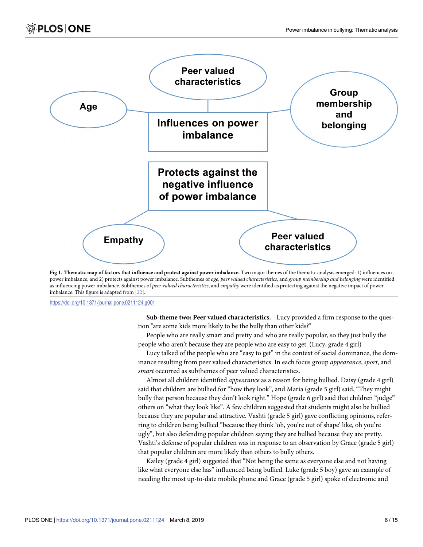<span id="page-5-0"></span>

[Fig](#page-4-0) 1. Thematic map of factors that influence and protect against power imbalance. Two major themes of the thematic analysis emerged: 1) influences on power imbalance, and 2) protects against power imbalance. Subthemes of *age*, *peer valued characteristics*, and *group membership and belonging* were identified as influencing power imbalance. Subthemes of *peer valued characteristics*, and *empathy* were identified as protecting against the negative impact of power imbalance. This figure is adapted from [\[22\]](#page-13-0).

<https://doi.org/10.1371/journal.pone.0211124.g001>

**Sub-theme two: Peer valued characteristics.** Lucy provided a firm response to the question "are some kids more likely to be the bully than other kids?"

People who are really smart and pretty and who are really popular, so they just bully the people who aren't because they are people who are easy to get. (Lucy, grade 4 girl)

Lucy talked of the people who are "easy to get" in the context of social dominance, the dominance resulting from peer valued characteristics. In each focus group *appearance*, *sport*, and *smart* occurred as subthemes of peer valued characteristics.

Almost all children identified *appearance* as a reason for being bullied. Daisy (grade 4 girl) said that children are bullied for "how they look", and Maria (grade 5 girl) said, "They might bully that person because they don't look right." Hope (grade 6 girl) said that children "judge" others on "what they look like". A few children suggested that students might also be bullied because they are popular and attractive. Vashti (grade 5 girl) gave conflicting opinions, referring to children being bullied "because they think 'oh, you're out of shape' like, oh you're ugly", but also defending popular children saying they are bullied because they are pretty. Vashti's defense of popular children was in response to an observation by Grace (grade 5 girl) that popular children are more likely than others to bully others.

Kailey (grade 4 girl) suggested that "Not being the same as everyone else and not having like what everyone else has" influenced being bullied. Luke (grade 5 boy) gave an example of needing the most up-to-date mobile phone and Grace (grade 5 girl) spoke of electronic and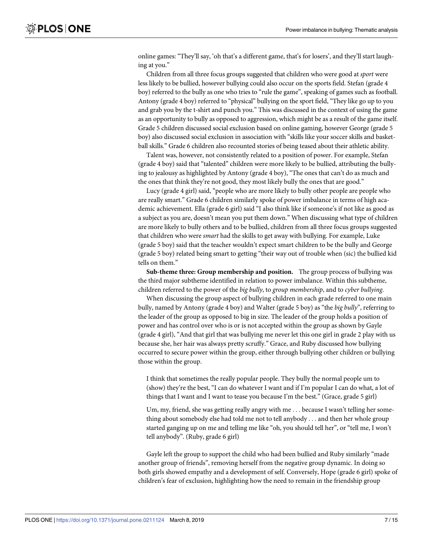online games: "They'll say, 'oh that's a different game, that's for losers', and they'll start laughing at you."

Children from all three focus groups suggested that children who were good at *sport* were less likely to be bullied, however bullying could also occur on the sports field. Stefan (grade 4 boy) referred to the bully as one who tries to "rule the game", speaking of games such as football. Antony (grade 4 boy) referred to "physical" bullying on the sport field, "They like go up to you and grab you by the t-shirt and punch you." This was discussed in the context of using the game as an opportunity to bully as opposed to aggression, which might be as a result of the game itself. Grade 5 children discussed social exclusion based on online gaming, however George (grade 5 boy) also discussed social exclusion in association with "skills like your soccer skills and basketball skills." Grade 6 children also recounted stories of being teased about their athletic ability.

Talent was, however, not consistently related to a position of power. For example, Stefan (grade 4 boy) said that "talented" children were more likely to be bullied, attributing the bullying to jealousy as highlighted by Antony (grade 4 boy), "The ones that can't do as much and the ones that think they're not good, they most likely bully the ones that are good."

Lucy (grade 4 girl) said, "people who are more likely to bully other people are people who are really smart." Grade 6 children similarly spoke of power imbalance in terms of high academic achievement. Ella (grade 6 girl) said "I also think like if someone's if not like as good as a subject as you are, doesn't mean you put them down." When discussing what type of children are more likely to bully others and to be bullied, children from all three focus groups suggested that children who were *smart* had the skills to get away with bullying. For example, Luke (grade 5 boy) said that the teacher wouldn't expect smart children to be the bully and George (grade 5 boy) related being smart to getting "their way out of trouble when (sic) the bullied kid tells on them."

**Sub-theme three: Group membership and position.** The group process of bullying was the third major subtheme identified in relation to power imbalance. Within this subtheme, children referred to the power of the *big bully*, to *group membership*, and to *cyber bullying*.

When discussing the group aspect of bullying children in each grade referred to one main bully, named by Antony (grade 4 boy) and Walter (grade 5 boy) as "the *big bully*", referring to the leader of the group as opposed to big in size. The leader of the group holds a position of power and has control over who is or is not accepted within the group as shown by Gayle (grade 4 girl), "And that girl that was bullying me never let this one girl in grade 2 play with us because she, her hair was always pretty scruffy." Grace, and Ruby discussed how bullying occurred to secure power within the group, either through bullying other children or bullying those within the group.

I think that sometimes the really popular people. They bully the normal people um to (show) they're the best, "I can do whatever I want and if I'm popular I can do what, a lot of things that I want and I want to tease you because I'm the best." (Grace, grade 5 girl)

Um, my, friend, she was getting really angry with me . . . because I wasn't telling her something about somebody else had told me not to tell anybody . . . and then her whole group started ganging up on me and telling me like "oh, you should tell her", or "tell me, I won't tell anybody". (Ruby, grade 6 girl)

Gayle left the group to support the child who had been bullied and Ruby similarly "made another group of friends", removing herself from the negative group dynamic. In doing so both girls showed empathy and a development of self. Conversely, Hope (grade 6 girl) spoke of children's fear of exclusion, highlighting how the need to remain in the friendship group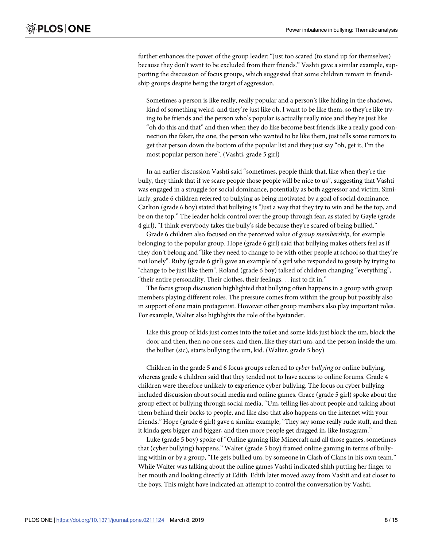further enhances the power of the group leader: "Just too scared (to stand up for themselves) because they don't want to be excluded from their friends." Vashti gave a similar example, supporting the discussion of focus groups, which suggested that some children remain in friendship groups despite being the target of aggression.

Sometimes a person is like really, really popular and a person's like hiding in the shadows, kind of something weird, and they're just like oh, I want to be like them, so they're like trying to be friends and the person who's popular is actually really nice and they're just like "oh do this and that" and then when they do like become best friends like a really good connection the faker, the one, the person who wanted to be like them, just tells some rumors to get that person down the bottom of the popular list and they just say "oh, get it, I'm the most popular person here". (Vashti, grade 5 girl)

In an earlier discussion Vashti said "sometimes, people think that, like when they're the bully, they think that if we scare people those people will be nice to us", suggesting that Vashti was engaged in a struggle for social dominance, potentially as both aggressor and victim. Similarly, grade 6 children referred to bullying as being motivated by a goal of social dominance. Carlton (grade 6 boy) stated that bullying is "Just a way that they try to win and be the top, and be on the top." The leader holds control over the group through fear, as stated by Gayle (grade 4 girl), "I think everybody takes the bully's side because they're scared of being bullied."

Grade 6 children also focused on the perceived value of *group membership*, for example belonging to the popular group. Hope (grade 6 girl) said that bullying makes others feel as if they don't belong and "like they need to change to be with other people at school so that they're not lonely". Ruby (grade 6 girl) gave an example of a girl who responded to gossip by trying to "change to be just like them". Roland (grade 6 boy) talked of children changing "everything", "their entire personality. Their clothes, their feelings. . . just to fit in."

The focus group discussion highlighted that bullying often happens in a group with group members playing different roles. The pressure comes from within the group but possibly also in support of one main protagonist. However other group members also play important roles. For example, Walter also highlights the role of the bystander.

Like this group of kids just comes into the toilet and some kids just block the um, block the door and then, then no one sees, and then, like they start um, and the person inside the um, the bullier (sic), starts bullying the um, kid. (Walter, grade 5 boy)

Children in the grade 5 and 6 focus groups referred to *cyber bullying* or online bullying, whereas grade 4 children said that they tended not to have access to online forums. Grade 4 children were therefore unlikely to experience cyber bullying. The focus on cyber bullying included discussion about social media and online games. Grace (grade 5 girl) spoke about the group effect of bullying through social media, "Um, telling lies about people and talking about them behind their backs to people, and like also that also happens on the internet with your friends." Hope (grade 6 girl) gave a similar example, "They say some really rude stuff, and then it kinda gets bigger and bigger, and then more people get dragged in, like Instagram."

Luke (grade 5 boy) spoke of "Online gaming like Minecraft and all those games, sometimes that (cyber bullying) happens." Walter (grade 5 boy) framed online gaming in terms of bullying within or by a group, "He gets bullied um, by someone in Clash of Clans in his own team." While Walter was talking about the online games Vashti indicated shhh putting her finger to her mouth and looking directly at Edith. Edith later moved away from Vashti and sat closer to the boys. This might have indicated an attempt to control the conversation by Vashti.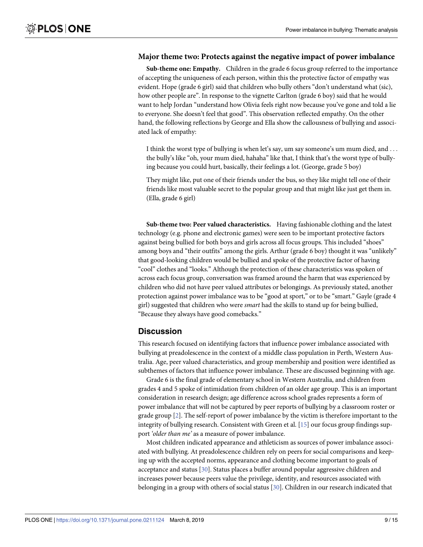## <span id="page-8-0"></span>**Major theme two: Protects against the negative impact of power imbalance**

**Sub-theme one: Empathy.** Children in the grade 6 focus group referred to the importance of accepting the uniqueness of each person, within this the protective factor of empathy was evident. Hope (grade 6 girl) said that children who bully others "don't understand what (sic), how other people are". In response to the vignette Carlton (grade 6 boy) said that he would want to help Jordan "understand how Olivia feels right now because you've gone and told a lie to everyone. She doesn't feel that good". This observation reflected empathy. On the other hand, the following reflections by George and Ella show the callousness of bullying and associated lack of empathy:

I think the worst type of bullying is when let's say, um say someone's um mum died, and . . . the bully's like "oh, your mum died, hahaha" like that, I think that's the worst type of bullying because you could hurt, basically, their feelings a lot. (George, grade 5 boy)

They might like, put one of their friends under the bus, so they like might tell one of their friends like most valuable secret to the popular group and that might like just get them in. (Ella, grade 6 girl)

**Sub-theme two: Peer valued characteristics.** Having fashionable clothing and the latest technology (e.g. phone and electronic games) were seen to be important protective factors against being bullied for both boys and girls across all focus groups. This included "shoes" among boys and "their outfits" among the girls. Arthur (grade 6 boy) thought it was "unlikely" that good-looking children would be bullied and spoke of the protective factor of having "cool" clothes and "looks." Although the protection of these characteristics was spoken of across each focus group, conversation was framed around the harm that was experienced by children who did not have peer valued attributes or belongings. As previously stated, another protection against power imbalance was to be "good at sport," or to be "smart." Gayle (grade 4 girl) suggested that children who were *smart* had the skills to stand up for being bullied, "Because they always have good comebacks."

# **Discussion**

This research focused on identifying factors that influence power imbalance associated with bullying at preadolescence in the context of a middle class population in Perth, Western Australia. Age, peer valued characteristics, and group membership and position were identified as subthemes of factors that influence power imbalance. These are discussed beginning with age.

Grade 6 is the final grade of elementary school in Western Australia, and children from grades 4 and 5 spoke of intimidation from children of an older age group. This is an important consideration in research design; age difference across school grades represents a form of power imbalance that will not be captured by peer reports of bullying by a classroom roster or grade group [[2\]](#page-12-0). The self-report of power imbalance by the victim is therefore important to the integrity of bullying research. Consistent with Green et al. [[15](#page-13-0)] our focus group findings support *'older than me'* as a measure of power imbalance.

Most children indicated appearance and athleticism as sources of power imbalance associated with bullying. At preadolescence children rely on peers for social comparisons and keeping up with the accepted norms, appearance and clothing become important to goals of acceptance and status [\[30\]](#page-14-0). Status places a buffer around popular aggressive children and increases power because peers value the privilege, identity, and resources associated with belonging in a group with others of social status [\[30\]](#page-14-0). Children in our research indicated that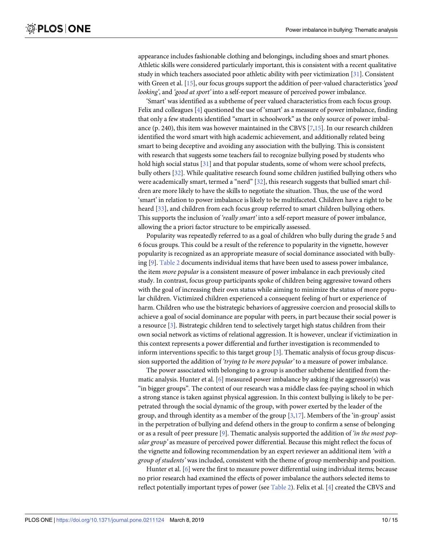<span id="page-9-0"></span>appearance includes fashionable clothing and belongings, including shoes and smart phones. Athletic skills were considered particularly important, this is consistent with a recent qualitative study in which teachers associated poor athletic ability with peer victimization [\[31\]](#page-14-0). Consistent with Green et al. [\[15\]](#page-13-0), our focus groups support the addition of peer-valued characteristics *'good looking'*, and *'good at sport'* into a self-report measure of perceived power imbalance.

'Smart' was identified as a subtheme of peer valued characteristics from each focus group. Felix and colleagues [\[4\]](#page-12-0) questioned the use of 'smart' as a measure of power imbalance, finding that only a few students identified "smart in schoolwork" as the only source of power imbalance (p. 240), this item was however maintained in the CBVS [\[7,15\]](#page-13-0). In our research children identified the word smart with high academic achievement, and additionally related being smart to being deceptive and avoiding any association with the bullying. This is consistent with research that suggests some teachers fail to recognize bullying posed by students who hold high social status [\[31\]](#page-14-0) and that popular students, some of whom were school prefects, bully others [[32\]](#page-14-0). While qualitative research found some children justified bullying others who were academically smart, termed a "nerd" [[32](#page-14-0)], this research suggests that bullied smart children are more likely to have the skills to negotiate the situation. Thus, the use of the word 'smart' in relation to power imbalance is likely to be multifaceted. Children have a right to be heard [\[33\]](#page-14-0), and children from each focus group referred to smart children bullying others. This supports the inclusion of *'really smart'* into a self-report measure of power imbalance, allowing the a priori factor structure to be empirically assessed.

Popularity was repeatedly referred to as a goal of children who bully during the grade 5 and 6 focus groups. This could be a result of the reference to popularity in the vignette, however popularity is recognized as an appropriate measure of social dominance associated with bullying [\[9](#page-13-0)]. [Table](#page-10-0) 2 documents individual items that have been used to assess power imbalance, the item *more popular* is a consistent measure of power imbalance in each previously cited study. In contrast, focus group participants spoke of children being aggressive toward others with the goal of increasing their own status while aiming to minimize the status of more popular children. Victimized children experienced a consequent feeling of hurt or experience of harm. Children who use the bistrategic behaviors of aggressive coercion and prosocial skills to achieve a goal of social dominance are popular with peers, in part because their social power is a resource [\[3\]](#page-12-0). Bistrategic children tend to selectively target high status children from their own social network as victims of relational aggression. It is however, unclear if victimization in this context represents a power differential and further investigation is recommended to inform interventions specific to this target group [\[3\]](#page-12-0). Thematic analysis of focus group discussion supported the addition of *'trying to be more popular'* to a measure of power imbalance.

The power associated with belonging to a group is another subtheme identified from thematic analysis. Hunter et al. [[6\]](#page-12-0) measured power imbalance by asking if the aggressor(s) was "in bigger groups". The context of our research was a middle class fee-paying school in which a strong stance is taken against physical aggression. In this context bullying is likely to be perpetrated through the social dynamic of the group, with power exerted by the leader of the group, and through identity as a member of the group  $[3,17]$  $[3,17]$ . Members of the 'in-group' assist in the perpetration of bullying and defend others in the group to confirm a sense of belonging or as a result of peer pressure [\[9\]](#page-13-0). Thematic analysis supported the addition of *'in the most popular group'* as measure of perceived power differential. Because this might reflect the focus of the vignette and following recommendation by an expert reviewer an additional item *'with a group of students'* was included, consistent with the theme of group membership and position.

Hunter et al. [[6](#page-12-0)] were the first to measure power differential using individual items; because no prior research had examined the effects of power imbalance the authors selected items to reflect potentially important types of power (see [Table](#page-10-0) 2). Felix et al. [[4\]](#page-12-0) created the CBVS and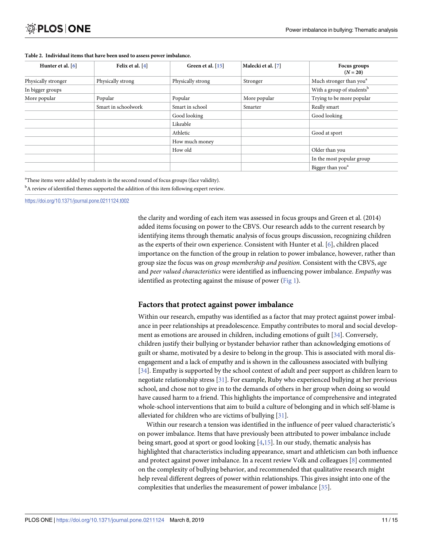| Hunter et al. [6]   | Felix et al. [4]    | Green et al. [15] | Malecki et al. [7] | Focus groups<br>$(N = 20)$            |
|---------------------|---------------------|-------------------|--------------------|---------------------------------------|
| Physically stronger | Physically strong   | Physically strong | Stronger           | Much stronger than you <sup>a</sup>   |
| In bigger groups    |                     |                   |                    | With a group of students <sup>b</sup> |
| More popular        | Popular             | Popular           | More popular       | Trying to be more popular             |
|                     | Smart in schoolwork | Smart in school   | Smarter            | Really smart                          |
|                     |                     | Good looking      |                    | Good looking                          |
|                     |                     | Likeable          |                    |                                       |
|                     |                     | Athletic          |                    | Good at sport                         |
|                     |                     | How much money    |                    |                                       |
|                     |                     | How old           |                    | Older than you                        |
|                     |                     |                   |                    | In the most popular group             |
|                     |                     |                   |                    | Bigger than you <sup>a</sup>          |

#### <span id="page-10-0"></span>**[Table](#page-9-0) 2. Individual items that have been used to assess power imbalance.**

<sup>a</sup>These items were added by students in the second round of focus groups (face validity). <sup>b</sup>A review of identified themes supported the addition of this item following expert review.

<https://doi.org/10.1371/journal.pone.0211124.t002>

the clarity and wording of each item was assessed in focus groups and Green et al. (2014) added items focusing on power to the CBVS. Our research adds to the current research by identifying items through thematic analysis of focus groups discussion, recognizing children as the experts of their own experience. Consistent with Hunter et al. [\[6](#page-12-0)], children placed importance on the function of the group in relation to power imbalance, however, rather than group size the focus was on *group membership and position*. Consistent with the CBVS, *age* and *peer valued characteristics* were identified as influencing power imbalance. *Empathy* was identified as protecting against the misuse of power ( $Fig 1$  $Fig 1$ ).

# **Factors that protect against power imbalance**

Within our research, empathy was identified as a factor that may protect against power imbalance in peer relationships at preadolescence. Empathy contributes to moral and social development as emotions are aroused in children, including emotions of guilt [[34](#page-14-0)]. Conversely, children justify their bullying or bystander behavior rather than acknowledging emotions of guilt or shame, motivated by a desire to belong in the group. This is associated with moral disengagement and a lack of empathy and is shown in the callousness associated with bullying [\[34\]](#page-14-0). Empathy is supported by the school context of adult and peer support as children learn to negotiate relationship stress [\[31\]](#page-14-0). For example, Ruby who experienced bullying at her previous school, and chose not to give in to the demands of others in her group when doing so would have caused harm to a friend. This highlights the importance of comprehensive and integrated whole-school interventions that aim to build a culture of belonging and in which self-blame is alleviated for children who are victims of bullying [[31](#page-14-0)].

Within our research a tension was identified in the influence of peer valued characteristic's on power imbalance. Items that have previously been attributed to power imbalance include being smart, good at sport or good looking [\[4](#page-12-0)[,15\]](#page-13-0). In our study, thematic analysis has highlighted that characteristics including appearance, smart and athleticism can both influence and protect against power imbalance. In a recent review Volk and colleagues [\[8\]](#page-13-0) commented on the complexity of bullying behavior, and recommended that qualitative research might help reveal different degrees of power within relationships. This gives insight into one of the complexities that underlies the measurement of power imbalance [[35](#page-14-0)].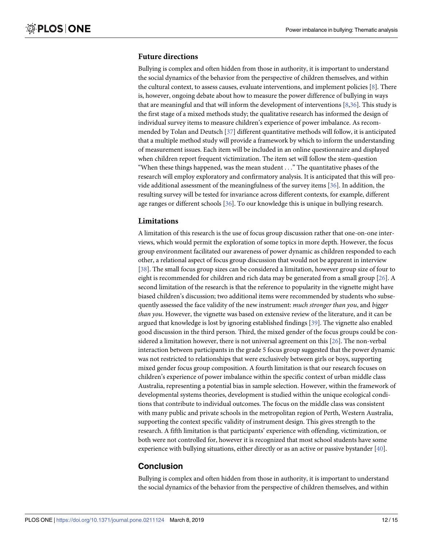# <span id="page-11-0"></span>**Future directions**

Bullying is complex and often hidden from those in authority, it is important to understand the social dynamics of the behavior from the perspective of children themselves, and within the cultural context, to assess causes, evaluate interventions, and implement policies [\[8\]](#page-13-0). There is, however, ongoing debate about how to measure the power difference of bullying in ways that are meaningful and that will inform the development of interventions [[8,](#page-13-0)[36](#page-14-0)]. This study is the first stage of a mixed methods study; the qualitative research has informed the design of individual survey items to measure children's experience of power imbalance. As recommended by Tolan and Deutsch [\[37\]](#page-14-0) different quantitative methods will follow, it is anticipated that a multiple method study will provide a framework by which to inform the understanding of measurement issues. Each item will be included in an online questionnaire and displayed when children report frequent victimization. The item set will follow the stem-question "When these things happened, was the mean student . . ." The quantitative phases of the research will employ exploratory and confirmatory analysis. It is anticipated that this will provide additional assessment of the meaningfulness of the survey items [[36](#page-14-0)]. In addition, the resulting survey will be tested for invariance across different contexts, for example, different age ranges or different schools [\[36\]](#page-14-0). To our knowledge this is unique in bullying research.

# **Limitations**

A limitation of this research is the use of focus group discussion rather that one-on-one interviews, which would permit the exploration of some topics in more depth. However, the focus group environment facilitated our awareness of power dynamic as children responded to each other, a relational aspect of focus group discussion that would not be apparent in interview [\[38\]](#page-14-0). The small focus group sizes can be considered a limitation, however group size of four to eight is recommended for children and rich data may be generated from a small group [\[26\]](#page-13-0). A second limitation of the research is that the reference to popularity in the vignette might have biased children's discussion; two additional items were recommended by students who subsequently assessed the face validity of the new instrument: *much stronger than you*, and *bigger than you*. However, the vignette was based on extensive review of the literature, and it can be argued that knowledge is lost by ignoring established findings [\[39\]](#page-14-0). The vignette also enabled good discussion in the third person. Third, the mixed gender of the focus groups could be considered a limitation however, there is not universal agreement on this [\[26\]](#page-13-0). The non-verbal interaction between participants in the grade 5 focus group suggested that the power dynamic was not restricted to relationships that were exclusively between girls or boys, supporting mixed gender focus group composition. A fourth limitation is that our research focuses on children's experience of power imbalance within the specific context of urban middle class Australia, representing a potential bias in sample selection. However, within the framework of developmental systems theories, development is studied within the unique ecological conditions that contribute to individual outcomes. The focus on the middle class was consistent with many public and private schools in the metropolitan region of Perth, Western Australia, supporting the context specific validity of instrument design. This gives strength to the research. A fifth limitation is that participants' experience with offending, victimization, or both were not controlled for, however it is recognized that most school students have some experience with bullying situations, either directly or as an active or passive bystander [\[40\]](#page-14-0).

# **Conclusion**

Bullying is complex and often hidden from those in authority, it is important to understand the social dynamics of the behavior from the perspective of children themselves, and within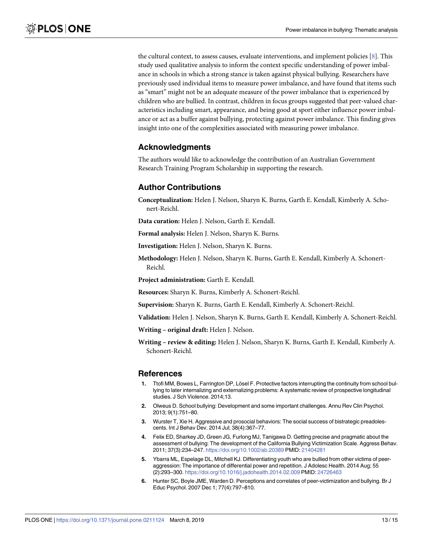<span id="page-12-0"></span>the cultural context, to assess causes, evaluate interventions, and implement policies [\[8\]](#page-13-0). This study used qualitative analysis to inform the context specific understanding of power imbalance in schools in which a strong stance is taken against physical bullying. Researchers have previously used individual items to measure power imbalance, and have found that items such as "smart" might not be an adequate measure of the power imbalance that is experienced by children who are bullied. In contrast, children in focus groups suggested that peer-valued characteristics including smart, appearance, and being good at sport either influence power imbalance or act as a buffer against bullying, protecting against power imbalance. This finding gives insight into one of the complexities associated with measuring power imbalance.

# **Acknowledgments**

The authors would like to acknowledge the contribution of an Australian Government Research Training Program Scholarship in supporting the research.

# **Author Contributions**

**Conceptualization:** Helen J. Nelson, Sharyn K. Burns, Garth E. Kendall, Kimberly A. Schonert-Reichl.

**Data curation:** Helen J. Nelson, Garth E. Kendall.

**Formal analysis:** Helen J. Nelson, Sharyn K. Burns.

**Investigation:** Helen J. Nelson, Sharyn K. Burns.

**Methodology:** Helen J. Nelson, Sharyn K. Burns, Garth E. Kendall, Kimberly A. Schonert-Reichl.

**Project administration:** Garth E. Kendall.

**Resources:** Sharyn K. Burns, Kimberly A. Schonert-Reichl.

**Supervision:** Sharyn K. Burns, Garth E. Kendall, Kimberly A. Schonert-Reichl.

**Validation:** Helen J. Nelson, Sharyn K. Burns, Garth E. Kendall, Kimberly A. Schonert-Reichl.

**Writing – original draft:** Helen J. Nelson.

**Writing – review & editing:** Helen J. Nelson, Sharyn K. Burns, Garth E. Kendall, Kimberly A. Schonert-Reichl.

# **References**

- **[1](#page-0-0).** Ttofi MM, Bowes L, Farrington DP, Lösel F. Protective factors interrupting the continuity from school bullying to later internalizing and externalizing problems: A systematic review of prospective longitudinal studies. J Sch Violence. 2014;13.
- **[2](#page-0-0).** Olweus D. School bullying: Development and some important challenges. Annu Rev Clin Psychol. 2013; 9(1):751–80.
- **[3](#page-0-0).** Wurster T, Xie H. Aggressive and prosocial behaviors: The social success of bistrategic preadolescents. Int J Behav Dev. 2014 Jul; 38(4):367–77.
- **[4](#page-0-0).** Felix ED, Sharkey JD, Green JG, Furlong MJ, Tanigawa D. Getting precise and pragmatic about the assessment of bullying: The development of the California Bullying Victimization Scale. Aggress Behav. 2011; 37(3):234–247. <https://doi.org/10.1002/ab.20389> PMID: [21404281](http://www.ncbi.nlm.nih.gov/pubmed/21404281)
- **[5](#page-0-0).** Ybarra ML, Espelage DL, Mitchell KJ. Differentiating youth who are bullied from other victims of peeraggression: The importance of differential power and repetition. J Adolesc Health. 2014 Aug; 55 (2):293–300. <https://doi.org/10.1016/j.jadohealth.2014.02.009> PMID: [24726463](http://www.ncbi.nlm.nih.gov/pubmed/24726463)
- **[6](#page-0-0).** Hunter SC, Boyle JME, Warden D. Perceptions and correlates of peer-victimization and bullying. Br J Educ Psychol. 2007 Dec 1; 77(4):797–810.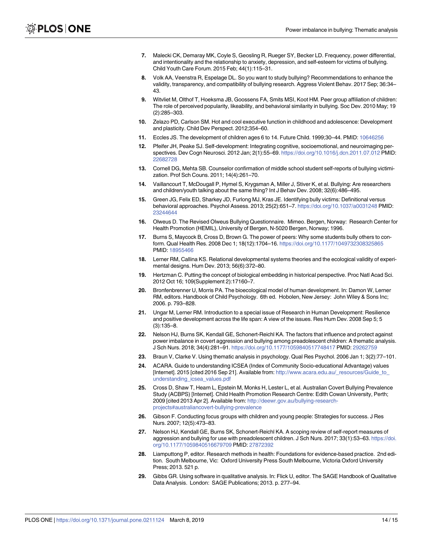- <span id="page-13-0"></span>**[7](#page-1-0).** Malecki CK, Demaray MK, Coyle S, Geosling R, Rueger SY, Becker LD. Frequency, power differential, and intentionality and the relationship to anxiety, depression, and self-esteem for victims of bullying. Child Youth Care Forum. 2015 Feb; 44(1):115–31.
- **[8](#page-1-0).** Volk AA, Veenstra R, Espelage DL. So you want to study bullying? Recommendations to enhance the validity, transparency, and compatibility of bullying research. Aggress Violent Behav. 2017 Sep; 36:34– 43.
- **[9](#page-1-0).** Witvliet M, Olthof T, Hoeksma JB, Goossens FA, Smits MSI, Koot HM. Peer group affiliation of children: The role of perceived popularity, likeability, and behavioral similarity in bullying. Soc Dev. 2010 May; 19 (2):285–303.
- **[10](#page-1-0).** Zelazo PD, Carlson SM. Hot and cool executive function in childhood and adolescence: Development and plasticity. Child Dev Perspect. 2012;354–60.
- **[11](#page-1-0).** Eccles JS. The development of children ages 6 to 14. Future Child. 1999;30–44. PMID: [10646256](http://www.ncbi.nlm.nih.gov/pubmed/10646256)
- **[12](#page-1-0).** Pfeifer JH, Peake SJ. Self-development: Integrating cognitive, socioemotional, and neuroimaging perspectives. Dev Cogn Neurosci. 2012 Jan; 2(1):55–69. <https://doi.org/10.1016/j.dcn.2011.07.012> PMID: [22682728](http://www.ncbi.nlm.nih.gov/pubmed/22682728)
- **[13](#page-1-0).** Cornell DG, Mehta SB. Counselor confirmation of middle school student self-reports of bullying victimization. Prof Sch Couns. 2011; 14(4):261–70.
- **[14](#page-1-0).** Vaillancourt T, McDougall P, Hymel S, Krygsman A, Miller J, Stiver K, et al. Bullying: Are researchers and children/youth talking about the same thing? Int J Behav Dev. 2008; 32(6):486–495.
- **[15](#page-1-0).** Green JG, Felix ED, Sharkey JD, Furlong MJ, Kras JE. Identifying bully victims: Definitional versus behavioral approaches. Psychol Assess. 2013; 25(2):651–7. <https://doi.org/10.1037/a0031248> PMID: [23244644](http://www.ncbi.nlm.nih.gov/pubmed/23244644)
- **[16](#page-1-0).** Olweus D. The Revised Olweus Bullying Questionnaire. Mimeo. Bergen, Norway: Research Center for Health Promotion (HEMIL), University of Bergen, N-5020 Bergen, Norway; 1996.
- **[17](#page-1-0).** Burns S, Maycock B, Cross D, Brown G. The power of peers: Why some students bully others to conform. Qual Health Res. 2008 Dec 1; 18(12):1704–16. <https://doi.org/10.1177/1049732308325865> PMID: [18955466](http://www.ncbi.nlm.nih.gov/pubmed/18955466)
- **[18](#page-2-0).** Lerner RM, Callina KS. Relational developmental systems theories and the ecological validity of experimental designs. Hum Dev. 2013; 56(6):372–80.
- **[19](#page-2-0).** Hertzman C. Putting the concept of biological embedding in historical perspective. Proc Natl Acad Sci. 2012 Oct 16; 109(Supplement 2):17160–7.
- **[20](#page-2-0).** Bronfenbrenner U, Morris PA. The bioecological model of human development. In: Damon W, Lerner RM, editors. Handbook of Child Psychology. 6th ed. Hobolen, New Jersey: John Wiley & Sons Inc; 2006. p. 793–828.
- **[21](#page-2-0).** Ungar M, Lerner RM. Introduction to a special issue of Research in Human Development: Resilience and positive development across the life span: A view of the issues. Res Hum Dev. 2008 Sep 5; 5 (3):135–8.
- **[22](#page-2-0).** Nelson HJ, Burns SK, Kendall GE, Schonert-Reichl KA. The factors that influence and protect against power imbalance in covert aggression and bullying among preadolescent children: A thematic analysis. J Sch Nurs. 2018; 34(4):281–91. <https://doi.org/10.1177/1059840517748417> PMID: [29262759](http://www.ncbi.nlm.nih.gov/pubmed/29262759)
- **[23](#page-2-0).** Braun V, Clarke V. Using thematic analysis in psychology. Qual Res Psychol. 2006 Jan 1; 3(2):77–101.
- **[24](#page-2-0).** ACARA. Guide to understanding ICSEA (Index of Community Socio-educational Advantage) values [Internet]. 2015 [cited 2016 Sep 21]. Available from: [http://www.acara.edu.au/\\_resources/Guide\\_to\\_](http://www.acara.edu.au/_resources/Guide_to_understanding_icsea_values.pdf) [understanding\\_icsea\\_values.pdf](http://www.acara.edu.au/_resources/Guide_to_understanding_icsea_values.pdf)
- **[25](#page-2-0).** Cross D, Shaw T, Hearn L, Epstein M, Monks H, Lester L, et al. Australian Covert Bullying Prevalence Study (ACBPS) [Internet]. Child Health Promotion Research Centre: Edith Cowan University, Perth; 2009 [cited 2013 Apr 2]. Available from: [http://deewr.gov.au/bullying-research](http://deewr.gov.au/bullying-research-projects#australiancovert-bullying-prevalence)[projects#australiancovert-bullying-prevalence](http://deewr.gov.au/bullying-research-projects#australiancovert-bullying-prevalence)
- **[26](#page-2-0).** Gibson F. Conducting focus groups with children and young people: Strategies for success. J Res Nurs. 2007; 12(5):473–83.
- **[27](#page-3-0).** Nelson HJ, Kendall GE, Burns SK, Schonert-Reichl KA. A scoping review of self-report measures of aggression and bullying for use with preadolescent children. J Sch Nurs. 2017; 33(1):53–63. [https://doi.](https://doi.org/10.1177/1059840516679709) [org/10.1177/1059840516679709](https://doi.org/10.1177/1059840516679709) PMID: [27872392](http://www.ncbi.nlm.nih.gov/pubmed/27872392)
- **[28](#page-4-0).** Liamputtong P, editor. Research methods in health: Foundations for evidence-based practice. 2nd edition. South Melbourne, Vic: Oxford University Press South Melbourne, Victoria Oxford University Press; 2013. 521 p.
- **[29](#page-4-0).** Gibbs GR. Using software in qualitative analysis. In: Flick U, editor. The SAGE Handbook of Qualitative Data Analysis. London: SAGE Publications; 2013. p. 277–94.